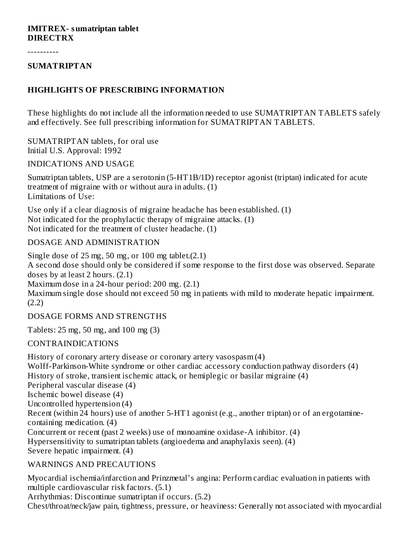#### **IMITREX- sumatriptan tablet DIRECTRX**

----------

#### **SUMATRIPTAN**

#### **HIGHLIGHTS OF PRESCRIBING INFORMATION**

These highlights do not include all the information needed to use SUMATRIPTAN TABLETS safely and effectively. See full prescribing information for SUMATRIPTAN TABLETS.

SUMATRIPTAN tablets, for oral use Initial U.S. Approval: 1992

#### INDICATIONS AND USAGE

Sumatriptan tablets, USP are a serotonin (5-HT1B/1D) receptor agonist (triptan) indicated for acute treatment of migraine with or without aura in adults. (1) Limitations of Use:

Use only if a clear diagnosis of migraine headache has been established. (1) Not indicated for the prophylactic therapy of migraine attacks. (1) Not indicated for the treatment of cluster headache. (1)

#### DOSAGE AND ADMINISTRATION

Single dose of  $25 \text{ mg}$ ,  $50 \text{ mg}$ , or  $100 \text{ mg}$  tablet. $(2.1)$ A second dose should only be considered if some response to the first dose was observed. Separate doses by at least 2 hours. (2.1) Maximum dose in a 24-hour period: 200 mg. (2.1)

Maximum single dose should not exceed 50 mg in patients with mild to moderate hepatic impairment. (2.2)

DOSAGE FORMS AND STRENGTHS

Tablets: 25 mg, 50 mg, and 100 mg (3)

CONTRAINDICATIONS

History of coronary artery disease or coronary artery vasospasm (4) Wolff-Parkinson-White syndrome or other cardiac accessory conduction pathway disorders (4) History of stroke, transient ischemic attack, or hemiplegic or basilar migraine (4) Peripheral vascular disease (4) Ischemic bowel disease (4) Uncontrolled hypertension (4) Recent (within 24 hours) use of another 5-HT1 agonist (e.g., another triptan) or of an ergotaminecontaining medication. (4) Concurrent or recent (past 2 weeks) use of monoamine oxidase-A inhibitor. (4) Hypersensitivity to sumatriptan tablets (angioedema and anaphylaxis seen).  $\overline{(4)}$ Severe hepatic impairment. (4)

#### WARNINGS AND PRECAUTIONS

Myocardial ischemia/infarction and Prinzmetal's angina: Perform cardiac evaluation in patients with multiple cardiovascular risk factors. (5.1)

Arrhythmias: Discontinue sumatriptan if occurs. (5.2)

Chest/throat/neck/jaw pain, tightness, pressure, or heaviness: Generally not associated with myocardial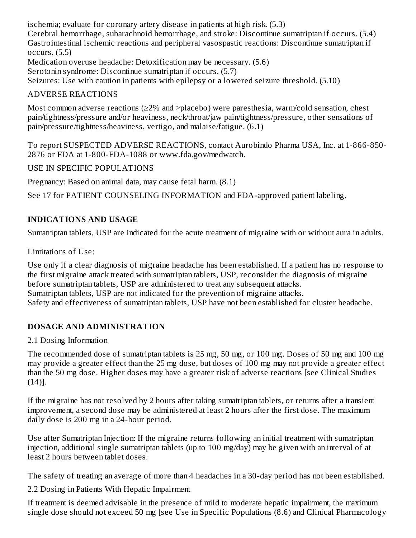ischemia; evaluate for coronary artery disease in patients at high risk. (5.3) Cerebral hemorrhage, subarachnoid hemorrhage, and stroke: Discontinue sumatriptan if occurs. (5.4) Gastrointestinal ischemic reactions and peripheral vasospastic reactions: Discontinue sumatriptan if occurs. (5.5)

Medication overuse headache: Detoxification may be necessary. (5.6)

Serotonin syndrome: Discontinue sumatriptan if occurs. (5.7)

Seizures: Use with caution in patients with epilepsy or a lowered seizure threshold. (5.10)

## ADVERSE REACTIONS

Most common adverse reactions (≥2% and >placebo) were paresthesia, warm/cold sensation, chest pain/tightness/pressure and/or heaviness, neck/throat/jaw pain/tightness/pressure, other sensations of pain/pressure/tightness/heaviness, vertigo, and malaise/fatigue. (6.1)

To report SUSPECTED ADVERSE REACTIONS, contact Aurobindo Pharma USA, Inc. at 1-866-850- 2876 or FDA at 1-800-FDA-1088 or www.fda.gov/medwatch.

USE IN SPECIFIC POPULATIONS

Pregnancy: Based on animal data, may cause fetal harm. (8.1)

See 17 for PATIENT COUNSELING INFORMATION and FDA-approved patient labeling.

## **INDICATIONS AND USAGE**

Sumatriptan tablets, USP are indicated for the acute treatment of migraine with or without aura in adults.

Limitations of Use:

Use only if a clear diagnosis of migraine headache has been established. If a patient has no response to the first migraine attack treated with sumatriptan tablets, USP, reconsider the diagnosis of migraine before sumatriptan tablets, USP are administered to treat any subsequent attacks. Sumatriptan tablets, USP are not indicated for the prevention of migraine attacks. Safety and effectiveness of sumatriptan tablets, USP have not been established for cluster headache.

## **DOSAGE AND ADMINISTRATION**

2.1 Dosing Information

The recommended dose of sumatriptan tablets is 25 mg, 50 mg, or 100 mg. Doses of 50 mg and 100 mg may provide a greater effect than the 25 mg dose, but doses of 100 mg may not provide a greater effect than the 50 mg dose. Higher doses may have a greater risk of adverse reactions [see Clinical Studies (14)].

If the migraine has not resolved by 2 hours after taking sumatriptan tablets, or returns after a transient improvement, a second dose may be administered at least 2 hours after the first dose. The maximum daily dose is 200 mg in a 24-hour period.

Use after Sumatriptan Injection: If the migraine returns following an initial treatment with sumatriptan injection, additional single sumatriptan tablets (up to 100 mg/day) may be given with an interval of at least 2 hours between tablet doses.

The safety of treating an average of more than 4 headaches in a 30-day period has not been established.

2.2 Dosing in Patients With Hepatic Impairment

If treatment is deemed advisable in the presence of mild to moderate hepatic impairment, the maximum single dose should not exceed 50 mg [see Use in Specific Populations (8.6) and Clinical Pharmacology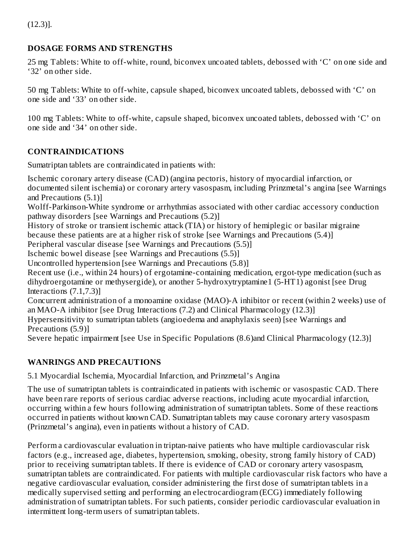## **DOSAGE FORMS AND STRENGTHS**

25 mg Tablets: White to off-white, round, biconvex uncoated tablets, debossed with 'C' on one side and '32' on other side.

50 mg Tablets: White to off-white, capsule shaped, biconvex uncoated tablets, debossed with 'C' on one side and '33' on other side.

100 mg Tablets: White to off-white, capsule shaped, biconvex uncoated tablets, debossed with 'C' on one side and '34' on other side.

## **CONTRAINDICATIONS**

Sumatriptan tablets are contraindicated in patients with:

Ischemic coronary artery disease (CAD) (angina pectoris, history of myocardial infarction, or documented silent ischemia) or coronary artery vasospasm, including Prinzmetal's angina [see Warnings and Precautions (5.1)]

Wolff-Parkinson-White syndrome or arrhythmias associated with other cardiac accessory conduction pathway disorders [see Warnings and Precautions (5.2)]

History of stroke or transient ischemic attack (TIA) or history of hemiplegic or basilar migraine because these patients are at a higher risk of stroke [see Warnings and Precautions (5.4)]

Peripheral vascular disease [see Warnings and Precautions (5.5)]

Ischemic bowel disease [see Warnings and Precautions (5.5)]

Uncontrolled hypertension [see Warnings and Precautions (5.8)]

Recent use (i.e., within 24 hours) of ergotamine-containing medication, ergot-type medication (such as dihydroergotamine or methysergide), or another 5-hydroxytryptamine1 (5-HT1) agonist [see Drug Interactions (7.1,7.3)]

Concurrent administration of a monoamine oxidase (MAO)-A inhibitor or recent (within 2 weeks) use of an MAO-A inhibitor [see Drug Interactions (7.2) and Clinical Pharmacology (12.3)]

Hypersensitivity to sumatriptan tablets (angioedema and anaphylaxis seen) [see Warnings and Precautions (5.9)]

Severe hepatic impairment [see Use in Specific Populations (8.6)and Clinical Pharmacology (12.3)]

## **WANRINGS AND PRECAUTIONS**

5.1 Myocardial Ischemia, Myocardial Infarction, and Prinzmetal's Angina

The use of sumatriptan tablets is contraindicated in patients with ischemic or vasospastic CAD. There have been rare reports of serious cardiac adverse reactions, including acute myocardial infarction, occurring within a few hours following administration of sumatriptan tablets. Some of these reactions occurred in patients without known CAD. Sumatriptan tablets may cause coronary artery vasospasm (Prinzmetal's angina), even in patients without a history of CAD.

Perform a cardiovascular evaluation in triptan-naive patients who have multiple cardiovascular risk factors (e.g., increased age, diabetes, hypertension, smoking, obesity, strong family history of CAD) prior to receiving sumatriptan tablets. If there is evidence of CAD or coronary artery vasospasm, sumatriptan tablets are contraindicated. For patients with multiple cardiovascular risk factors who have a negative cardiovascular evaluation, consider administering the first dose of sumatriptan tablets in a medically supervised setting and performing an electrocardiogram (ECG) immediately following administration of sumatriptan tablets. For such patients, consider periodic cardiovascular evaluation in intermittent long-term users of sumatriptan tablets.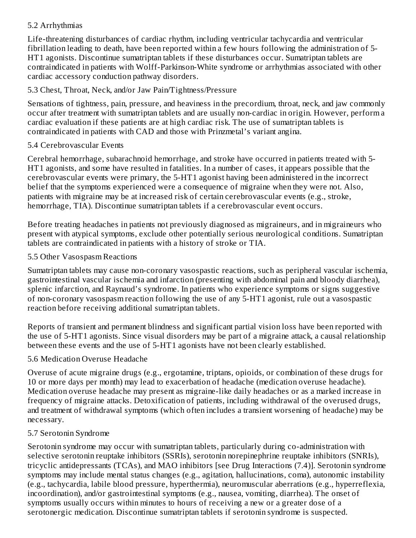## 5.2 Arrhythmias

Life-threatening disturbances of cardiac rhythm, including ventricular tachycardia and ventricular fibrillation leading to death, have been reported within a few hours following the administration of 5- HT1 agonists. Discontinue sumatriptan tablets if these disturbances occur. Sumatriptan tablets are contraindicated in patients with Wolff-Parkinson-White syndrome or arrhythmias associated with other cardiac accessory conduction pathway disorders.

## 5.3 Chest, Throat, Neck, and/or Jaw Pain/Tightness/Pressure

Sensations of tightness, pain, pressure, and heaviness in the precordium, throat, neck, and jaw commonly occur after treatment with sumatriptan tablets and are usually non-cardiac in origin. However, perform a cardiac evaluation if these patients are at high cardiac risk. The use of sumatriptan tablets is contraindicated in patients with CAD and those with Prinzmetal's variant angina.

## 5.4 Cerebrovascular Events

Cerebral hemorrhage, subarachnoid hemorrhage, and stroke have occurred in patients treated with 5- HT1 agonists, and some have resulted in fatalities. In a number of cases, it appears possible that the cerebrovascular events were primary, the 5-HT1 agonist having been administered in the incorrect belief that the symptoms experienced were a consequence of migraine when they were not. Also, patients with migraine may be at increased risk of certain cerebrovascular events (e.g., stroke, hemorrhage, TIA). Discontinue sumatriptan tablets if a cerebrovascular event occurs.

Before treating headaches in patients not previously diagnosed as migraineurs, and in migraineurs who present with atypical symptoms, exclude other potentially serious neurological conditions. Sumatriptan tablets are contraindicated in patients with a history of stroke or TIA.

## 5.5 Other Vasospasm Reactions

Sumatriptan tablets may cause non-coronary vasospastic reactions, such as peripheral vascular ischemia, gastrointestinal vascular ischemia and infarction (presenting with abdominal pain and bloody diarrhea), splenic infarction, and Raynaud's syndrome. In patients who experience symptoms or signs suggestive of non-coronary vasospasm reaction following the use of any 5-HT1 agonist, rule out a vasospastic reaction before receiving additional sumatriptan tablets.

Reports of transient and permanent blindness and significant partial vision loss have been reported with the use of 5-HT1 agonists. Since visual disorders may be part of a migraine attack, a causal relationship between these events and the use of 5-HT1 agonists have not been clearly established.

## 5.6 Medication Overuse Headache

Overuse of acute migraine drugs (e.g., ergotamine, triptans, opioids, or combination of these drugs for 10 or more days per month) may lead to exacerbation of headache (medication overuse headache). Medication overuse headache may present as migraine-like daily headaches or as a marked increase in frequency of migraine attacks. Detoxification of patients, including withdrawal of the overused drugs, and treatment of withdrawal symptoms (which often includes a transient worsening of headache) may be necessary.

## 5.7 Serotonin Syndrome

Serotonin syndrome may occur with sumatriptan tablets, particularly during co-administration with selective serotonin reuptake inhibitors (SSRIs), serotonin norepinephrine reuptake inhibitors (SNRIs), tricyclic antidepressants (TCAs), and MAO inhibitors [see Drug Interactions (7.4)]. Serotonin syndrome symptoms may include mental status changes (e.g., agitation, hallucinations, coma), autonomic instability (e.g., tachycardia, labile blood pressure, hyperthermia), neuromuscular aberrations (e.g., hyperreflexia, incoordination), and/or gastrointestinal symptoms (e.g., nausea, vomiting, diarrhea). The onset of symptoms usually occurs within minutes to hours of receiving a new or a greater dose of a serotonergic medication. Discontinue sumatriptan tablets if serotonin syndrome is suspected.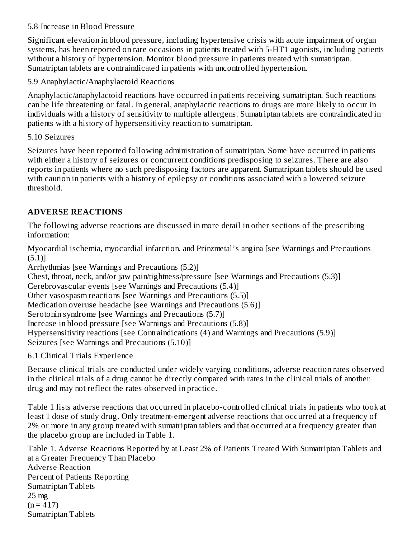## 5.8 Increase in Blood Pressure

Significant elevation in blood pressure, including hypertensive crisis with acute impairment of organ systems, has been reported on rare occasions in patients treated with 5-HT1 agonists, including patients without a history of hypertension. Monitor blood pressure in patients treated with sumatriptan. Sumatriptan tablets are contraindicated in patients with uncontrolled hypertension.

5.9 Anaphylactic/Anaphylactoid Reactions

Anaphylactic/anaphylactoid reactions have occurred in patients receiving sumatriptan. Such reactions can be life threatening or fatal. In general, anaphylactic reactions to drugs are more likely to occur in individuals with a history of sensitivity to multiple allergens. Sumatriptan tablets are contraindicated in patients with a history of hypersensitivity reaction to sumatriptan.

## 5.10 Seizures

Seizures have been reported following administration of sumatriptan. Some have occurred in patients with either a history of seizures or concurrent conditions predisposing to seizures. There are also reports in patients where no such predisposing factors are apparent. Sumatriptan tablets should be used with caution in patients with a history of epilepsy or conditions associated with a lowered seizure threshold.

## **ADVERSE REACTIONS**

The following adverse reactions are discussed in more detail in other sections of the prescribing information:

Myocardial ischemia, myocardial infarction, and Prinzmetal's angina [see Warnings and Precautions (5.1)]

Arrhythmias [see Warnings and Precautions (5.2)] Chest, throat, neck, and/or jaw pain/tightness/pressure [see Warnings and Precautions (5.3)] Cerebrovascular events [see Warnings and Precautions (5.4)] Other vasospasm reactions [see Warnings and Precautions (5.5)] Medication overuse headache [see Warnings and Precautions (5.6)] Serotonin syndrome [see Warnings and Precautions (5.7)] Increase in blood pressure [see Warnings and Precautions (5.8)] Hypersensitivity reactions [see Contraindications (4) and Warnings and Precautions (5.9)] Seizures [see Warnings and Precautions (5.10)]

6.1 Clinical Trials Experience

Because clinical trials are conducted under widely varying conditions, adverse reaction rates observed in the clinical trials of a drug cannot be directly compared with rates in the clinical trials of another drug and may not reflect the rates observed in practice.

Table 1 lists adverse reactions that occurred in placebo-controlled clinical trials in patients who took at least 1 dose of study drug. Only treatment-emergent adverse reactions that occurred at a frequency of 2% or more in any group treated with sumatriptan tablets and that occurred at a frequency greater than the placebo group are included in Table 1.

Table 1. Adverse Reactions Reported by at Least 2% of Patients Treated With Sumatriptan Tablets and at a Greater Frequency Than Placebo Adverse Reaction Percent of Patients Reporting Sumatriptan Tablets 25 mg  $(n = 417)$ Sumatriptan Tablets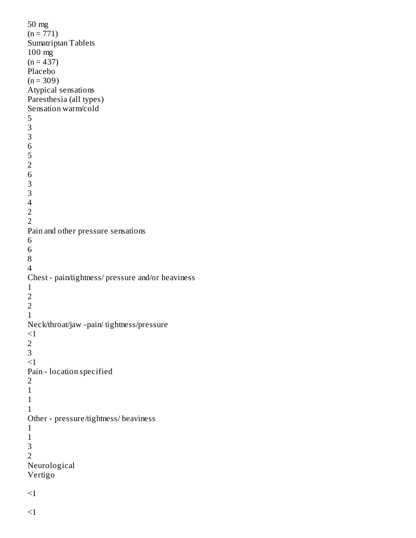```
50 mg
(n = 771)Sumatriptan Tablets
100 mg
(n = 437)Placebo
(n = 309)Atypical sensations
Paresthesia (all types)
Sensation warm/cold
5
3
3
6
5
2
6
3
3
4
2
2
Pain and other pressure sensations
6
6
8
4
Chest - pain/tightness/ pressure and/or heaviness
1
2
2
1
Neck/throat/jaw -pain/ tightness/pressure
<12
3
<1Pain - location specified
2
1
1
1
Other - pressure/tightness/ heaviness
1
1
3
2
Neurological
Vertigo
<1
```
 $<$ 1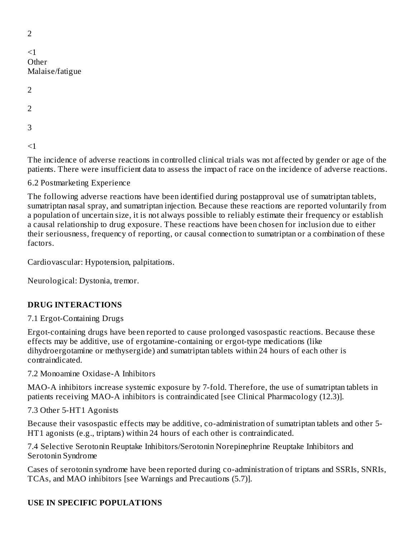| $\leq$ 1<br>Other<br>Malaise/fatigue |  |
|--------------------------------------|--|
| $\overline{2}$                       |  |
| $\overline{2}$                       |  |
| 3                                    |  |
| ≦                                    |  |

The incidence of adverse reactions in controlled clinical trials was not affected by gender or age of the patients. There were insufficient data to assess the impact of race on the incidence of adverse reactions.

6.2 Postmarketing Experience

The following adverse reactions have been identified during postapproval use of sumatriptan tablets, sumatriptan nasal spray, and sumatriptan injection. Because these reactions are reported voluntarily from a population of uncertain size, it is not always possible to reliably estimate their frequency or establish a causal relationship to drug exposure. These reactions have been chosen for inclusion due to either their seriousness, frequency of reporting, or causal connection to sumatriptan or a combination of these factors.

Cardiovascular: Hypotension, palpitations.

Neurological: Dystonia, tremor.

## **DRUG INTERACTIONS**

#### 7.1 Ergot-Containing Drugs

Ergot-containing drugs have been reported to cause prolonged vasospastic reactions. Because these effects may be additive, use of ergotamine-containing or ergot-type medications (like dihydroergotamine or methysergide) and sumatriptan tablets within 24 hours of each other is contraindicated.

7.2 Monoamine Oxidase-A Inhibitors

MAO-A inhibitors increase systemic exposure by 7-fold. Therefore, the use of sumatriptan tablets in patients receiving MAO-A inhibitors is contraindicated [see Clinical Pharmacology (12.3)].

7.3 Other 5-HT1 Agonists

Because their vasospastic effects may be additive, co-administration of sumatriptan tablets and other 5- HT1 agonists (e.g., triptans) within 24 hours of each other is contraindicated.

7.4 Selective Serotonin Reuptake Inhibitors/Serotonin Norepinephrine Reuptake Inhibitors and Serotonin Syndrome

Cases of serotonin syndrome have been reported during co-administration of triptans and SSRIs, SNRIs, TCAs, and MAO inhibitors [see Warnings and Precautions (5.7)].

## **USE IN SPECIFIC POPULATIONS**

 $\overline{2}$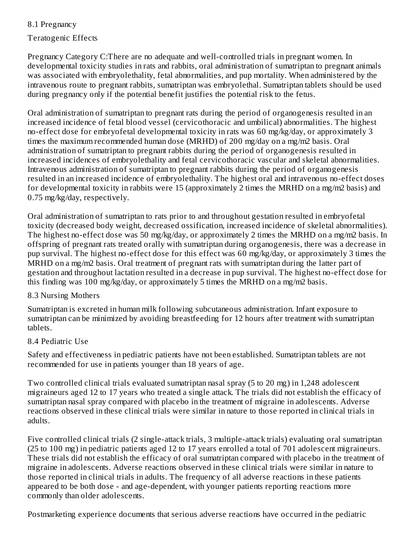# 8.1 Pregnancy

Teratogenic Effects

Pregnancy Category C:There are no adequate and well-controlled trials in pregnant women. In developmental toxicity studies in rats and rabbits, oral administration of sumatriptan to pregnant animals was associated with embryolethality, fetal abnormalities, and pup mortality. When administered by the intravenous route to pregnant rabbits, sumatriptan was embryolethal. Sumatriptan tablets should be used during pregnancy only if the potential benefit justifies the potential risk to the fetus.

Oral administration of sumatriptan to pregnant rats during the period of organogenesis resulted in an increased incidence of fetal blood vessel (cervicothoracic and umbilical) abnormalities. The highest no-effect dose for embryofetal developmental toxicity in rats was 60 mg/kg/day, or approximately 3 times the maximum recommended human dose (MRHD) of 200 mg/day on a mg/m2 basis. Oral administration of sumatriptan to pregnant rabbits during the period of organogenesis resulted in increased incidences of embryolethality and fetal cervicothoracic vascular and skeletal abnormalities. Intravenous administration of sumatriptan to pregnant rabbits during the period of organogenesis resulted in an increased incidence of embryolethality. The highest oral and intravenous no-effect doses for developmental toxicity in rabbits were 15 (approximately 2 times the MRHD on a mg/m2 basis) and 0.75 mg/kg/day, respectively.

Oral administration of sumatriptan to rats prior to and throughout gestation resulted in embryofetal toxicity (decreased body weight, decreased ossification, increased incidence of skeletal abnormalities). The highest no-effect dose was 50 mg/kg/day, or approximately 2 times the MRHD on a mg/m2 basis. In offspring of pregnant rats treated orally with sumatriptan during organogenesis, there was a decrease in pup survival. The highest no-effect dose for this effect was 60 mg/kg/day, or approximately 3 times the MRHD on a mg/m2 basis. Oral treatment of pregnant rats with sumatriptan during the latter part of gestation and throughout lactation resulted in a decrease in pup survival. The highest no-effect dose for this finding was 100 mg/kg/day, or approximately 5 times the MRHD on a mg/m2 basis.

## 8.3 Nursing Mothers

Sumatriptan is excreted in human milk following subcutaneous administration. Infant exposure to sumatriptan can be minimized by avoiding breastfeeding for 12 hours after treatment with sumatriptan tablets.

## 8.4 Pediatric Use

Safety and effectiveness in pediatric patients have not been established. Sumatriptan tablets are not recommended for use in patients younger than 18 years of age.

Two controlled clinical trials evaluated sumatriptan nasal spray (5 to 20 mg) in 1,248 adolescent migraineurs aged 12 to 17 years who treated a single attack. The trials did not establish the efficacy of sumatriptan nasal spray compared with placebo in the treatment of migraine in adolescents. Adverse reactions observed in these clinical trials were similar in nature to those reported in clinical trials in adults.

Five controlled clinical trials (2 single-attack trials, 3 multiple-attack trials) evaluating oral sumatriptan (25 to 100 mg) in pediatric patients aged 12 to 17 years enrolled a total of 701 adolescent migraineurs. These trials did not establish the efficacy of oral sumatriptan compared with placebo in the treatment of migraine in adolescents. Adverse reactions observed in these clinical trials were similar in nature to those reported in clinical trials in adults. The frequency of all adverse reactions in these patients appeared to be both dose - and age-dependent, with younger patients reporting reactions more commonly than older adolescents.

Postmarketing experience documents that serious adverse reactions have occurred in the pediatric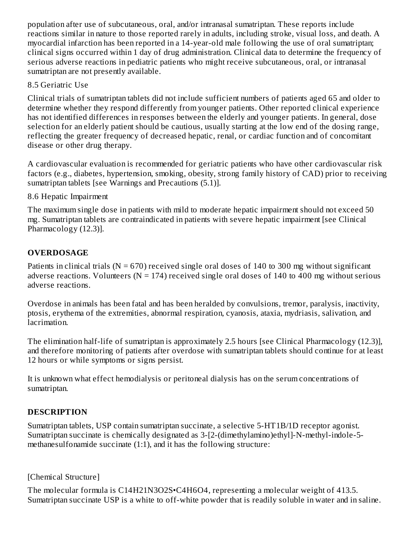population after use of subcutaneous, oral, and/or intranasal sumatriptan. These reports include reactions similar in nature to those reported rarely in adults, including stroke, visual loss, and death. A myocardial infarction has been reported in a 14-year-old male following the use of oral sumatriptan; clinical signs occurred within 1 day of drug administration. Clinical data to determine the frequency of serious adverse reactions in pediatric patients who might receive subcutaneous, oral, or intranasal sumatriptan are not presently available.

## 8.5 Geriatric Use

Clinical trials of sumatriptan tablets did not include sufficient numbers of patients aged 65 and older to determine whether they respond differently from younger patients. Other reported clinical experience has not identified differences in responses between the elderly and younger patients. In general, dose selection for an elderly patient should be cautious, usually starting at the low end of the dosing range, reflecting the greater frequency of decreased hepatic, renal, or cardiac function and of concomitant disease or other drug therapy.

A cardiovascular evaluation is recommended for geriatric patients who have other cardiovascular risk factors (e.g., diabetes, hypertension, smoking, obesity, strong family history of CAD) prior to receiving sumatriptan tablets [see Warnings and Precautions (5.1)].

## 8.6 Hepatic Impairment

The maximum single dose in patients with mild to moderate hepatic impairment should not exceed 50 mg. Sumatriptan tablets are contraindicated in patients with severe hepatic impairment [see Clinical Pharmacology (12.3)].

## **OVERDOSAGE**

Patients in clinical trials  $(N = 670)$  received single oral doses of 140 to 300 mg without significant adverse reactions. Volunteers ( $N = 174$ ) received single oral doses of 140 to 400 mg without serious adverse reactions.

Overdose in animals has been fatal and has been heralded by convulsions, tremor, paralysis, inactivity, ptosis, erythema of the extremities, abnormal respiration, cyanosis, ataxia, mydriasis, salivation, and lacrimation.

The elimination half-life of sumatriptan is approximately 2.5 hours [see Clinical Pharmacology (12.3)], and therefore monitoring of patients after overdose with sumatriptan tablets should continue for at least 12 hours or while symptoms or signs persist.

It is unknown what effect hemodialysis or peritoneal dialysis has on the serum concentrations of sumatriptan.

## **DESCRIPTION**

Sumatriptan tablets, USP contain sumatriptan succinate, a selective 5-HT1B/1D receptor agonist. Sumatriptan succinate is chemically designated as 3-[2-(dimethylamino)ethyl]-N-methyl-indole-5 methanesulfonamide succinate (1:1), and it has the following structure:

[Chemical Structure]

The molecular formula is C14H21N3O2S•C4H6O4, representing a molecular weight of 413.5. Sumatriptan succinate USP is a white to off-white powder that is readily soluble in water and in saline.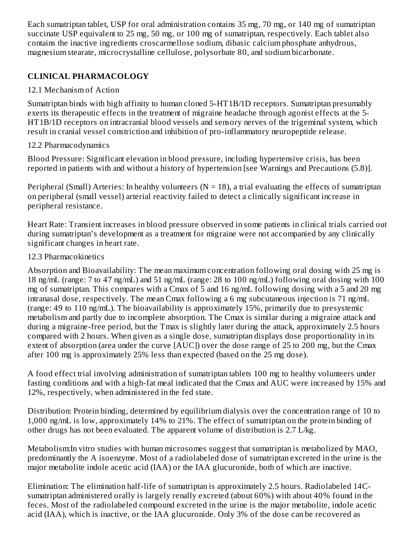Each sumatriptan tablet, USP for oral administration contains 35 mg, 70 mg, or 140 mg of sumatriptan succinate USP equivalent to 25 mg, 50 mg, or 100 mg of sumatriptan, respectively. Each tablet also contains the inactive ingredients croscarmellose sodium, dibasic calcium phosphate anhydrous, magnesium stearate, microcrystalline cellulose, polysorbate 80, and sodium bicarbonate.

## **CLINICAL PHARMACOLOGY**

## 12.1 Mechanism of Action

Sumatriptan binds with high affinity to human cloned 5-HT1B/1D receptors. Sumatriptan presumably exerts its therapeutic effects in the treatment of migraine headache through agonist effects at the 5- HT1B/1D receptors on intracranial blood vessels and sensory nerves of the trigeminal system, which result in cranial vessel constriction and inhibition of pro-inflammatory neuropeptide release.

## 12.2 Pharmacodynamics

Blood Pressure: Significant elevation in blood pressure, including hypertensive crisis, has been reported in patients with and without a history of hypertension [see Warnings and Precautions (5.8)].

Peripheral (Small) Arteries: In healthy volunteers ( $N = 18$ ), a trial evaluating the effects of sumatriptan on peripheral (small vessel) arterial reactivity failed to detect a clinically significant increase in peripheral resistance.

Heart Rate: Transient increases in blood pressure observed in some patients in clinical trials carried out during sumatriptan's development as a treatment for migraine were not accompanied by any clinically significant changes in heart rate.

## 12.3 Pharmacokinetics

Absorption and Bioavailability: The mean maximum concentration following oral dosing with 25 mg is 18 ng/mL (range: 7 to 47 ng/mL) and 51 ng/mL (range: 28 to 100 ng/mL) following oral dosing with 100 mg of sumatriptan. This compares with a Cmax of 5 and 16 ng/mL following dosing with a 5 and 20 mg intranasal dose, respectively. The mean Cmax following a 6 mg subcutaneous injection is 71 ng/mL (range: 49 to 110 ng/mL). The bioavailability is approximately 15%, primarily due to presystemic metabolism and partly due to incomplete absorption. The Cmax is similar during a migraine attack and during a migraine-free period, but the Tmax is slightly later during the attack, approximately 2.5 hours compared with 2 hours. When given as a single dose, sumatriptan displays dose proportionality in its extent of absorption (area under the curve [AUC]) over the dose range of 25 to 200 mg, but the Cmax after 100 mg is approximately 25% less than expected (based on the 25 mg dose).

A food effect trial involving administration of sumatriptan tablets 100 mg to healthy volunteers under fasting conditions and with a high-fat meal indicated that the Cmax and AUC were increased by 15% and 12%, respectively, when administered in the fed state.

Distribution: Protein binding, determined by equilibrium dialysis over the concentration range of 10 to 1,000 ng/mL is low, approximately 14% to 21%. The effect of sumatriptan on the protein binding of other drugs has not been evaluated. The apparent volume of distribution is 2.7 L/kg.

Metabolism:In vitro studies with human microsomes suggest that sumatriptan is metabolized by MAO, predominantly the A isoenzyme. Most of a radiolabeled dose of sumatriptan excreted in the urine is the major metabolite indole acetic acid (IAA) or the IAA glucuronide, both of which are inactive.

Elimination: The elimination half-life of sumatriptan is approximately 2.5 hours. Radiolabeled 14Csumatriptan administered orally is largely renally excreted (about 60%) with about 40% found in the feces. Most of the radiolabeled compound excreted in the urine is the major metabolite, indole acetic acid (IAA), which is inactive, or the IAA glucuronide. Only 3% of the dose can be recovered as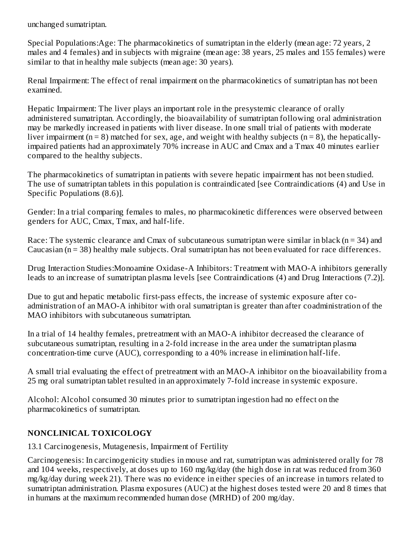unchanged sumatriptan.

Special Populations:Age: The pharmacokinetics of sumatriptan in the elderly (mean age: 72 years, 2 males and 4 females) and in subjects with migraine (mean age: 38 years, 25 males and 155 females) were similar to that in healthy male subjects (mean age: 30 years).

Renal Impairment: The effect of renal impairment on the pharmacokinetics of sumatriptan has not been examined.

Hepatic Impairment: The liver plays an important role in the presystemic clearance of orally administered sumatriptan. Accordingly, the bioavailability of sumatriptan following oral administration may be markedly increased in patients with liver disease. In one small trial of patients with moderate liver impairment ( $n = 8$ ) matched for sex, age, and weight with healthy subjects ( $n = 8$ ), the hepaticallyimpaired patients had an approximately 70% increase in AUC and Cmax and a Tmax 40 minutes earlier compared to the healthy subjects.

The pharmacokinetics of sumatriptan in patients with severe hepatic impairment has not been studied. The use of sumatriptan tablets in this population is contraindicated [see Contraindications (4) and Use in Specific Populations (8.6)].

Gender: In a trial comparing females to males, no pharmacokinetic differences were observed between genders for AUC, Cmax, Tmax, and half-life.

Race: The systemic clearance and Cmax of subcutaneous sumatriptan were similar in black  $(n = 34)$  and Caucasian (n = 38) healthy male subjects. Oral sumatriptan has not been evaluated for race differences.

Drug Interaction Studies:Monoamine Oxidase-A Inhibitors: Treatment with MAO-A inhibitors generally leads to an increase of sumatriptan plasma levels [see Contraindications (4) and Drug Interactions (7.2)].

Due to gut and hepatic metabolic first-pass effects, the increase of systemic exposure after coadministration of an MAO-A inhibitor with oral sumatriptan is greater than after coadministration of the MAO inhibitors with subcutaneous sumatriptan.

In a trial of 14 healthy females, pretreatment with an MAO-A inhibitor decreased the clearance of subcutaneous sumatriptan, resulting in a 2-fold increase in the area under the sumatriptan plasma concentration-time curve (AUC), corresponding to a 40% increase in elimination half-life.

A small trial evaluating the effect of pretreatment with an MAO-A inhibitor on the bioavailability from a 25 mg oral sumatriptan tablet resulted in an approximately 7-fold increase in systemic exposure.

Alcohol: Alcohol consumed 30 minutes prior to sumatriptan ingestion had no effect on the pharmacokinetics of sumatriptan.

## **NONCLINICAL TOXICOLOGY**

13.1 Carcinogenesis, Mutagenesis, Impairment of Fertility

Carcinogenesis: In carcinogenicity studies in mouse and rat, sumatriptan was administered orally for 78 and 104 weeks, respectively, at doses up to 160 mg/kg/day (the high dose in rat was reduced from 360 mg/kg/day during week 21). There was no evidence in either species of an increase in tumors related to sumatriptan administration. Plasma exposures (AUC) at the highest doses tested were 20 and 8 times that in humans at the maximum recommended human dose (MRHD) of 200 mg/day.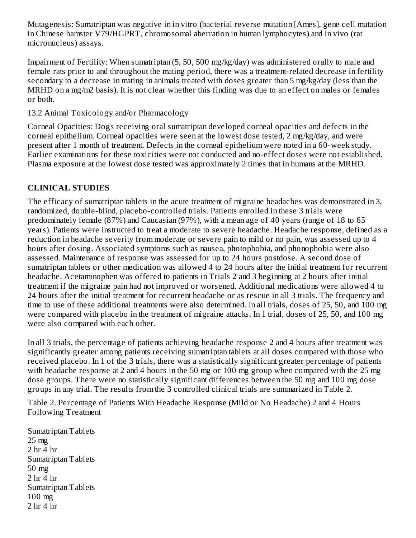Mutagenesis: Sumatriptan was negative in in vitro (bacterial reverse mutation [Ames], gene cell mutation in Chinese hamster V79/HGPRT, chromosomal aberration in human lymphocytes) and in vivo (rat micronucleus) assays.

Impairment of Fertility: When sumatriptan (5, 50, 500 mg/kg/day) was administered orally to male and female rats prior to and throughout the mating period, there was a treatment-related decrease in fertility secondary to a decrease in mating in animals treated with doses greater than 5 mg/kg/day (less than the MRHD on a mg/m2 basis). It is not clear whether this finding was due to an effect on males or females or both.

13.2 Animal Toxicology and/or Pharmacology

Corneal Opacities: Dogs receiving oral sumatriptan developed corneal opacities and defects in the corneal epithelium. Corneal opacities were seen at the lowest dose tested, 2 mg/kg/day, and were present after 1 month of treatment. Defects in the corneal epithelium were noted in a 60-week study. Earlier examinations for these toxicities were not conducted and no-effect doses were not established. Plasma exposure at the lowest dose tested was approximately 2 times that in humans at the MRHD.

## **CLINICAL STUDIES**

The efficacy of sumatriptan tablets in the acute treatment of migraine headaches was demonstrated in 3, randomized, double-blind, placebo-controlled trials. Patients enrolled in these 3 trials were predominately female (87%) and Caucasian (97%), with a mean age of 40 years (range of 18 to 65 years). Patients were instructed to treat a moderate to severe headache. Headache response, defined as a reduction in headache severity from moderate or severe pain to mild or no pain, was assessed up to 4 hours after dosing. Associated symptoms such as nausea, photophobia, and phonophobia were also assessed. Maintenance of response was assessed for up to 24 hours postdose. A second dose of sumatriptan tablets or other medication was allowed 4 to 24 hours after the initial treatment for recurrent headache. Acetaminophen was offered to patients in Trials 2 and 3 beginning at 2 hours after initial treatment if the migraine pain had not improved or worsened. Additional medications were allowed 4 to 24 hours after the initial treatment for recurrent headache or as rescue in all 3 trials. The frequency and time to use of these additional treatments were also determined. In all trials, doses of 25, 50, and 100 mg were compared with placebo in the treatment of migraine attacks. In 1 trial, doses of 25, 50, and 100 mg were also compared with each other.

In all 3 trials, the percentage of patients achieving headache response 2 and 4 hours after treatment was significantly greater among patients receiving sumatriptan tablets at all doses compared with those who received placebo. In 1 of the 3 trials, there was a statistically significant greater percentage of patients with headache response at 2 and 4 hours in the 50 mg or 100 mg group when compared with the 25 mg dose groups. There were no statistically significant differences between the 50 mg and 100 mg dose groups in any trial. The results from the 3 controlled clinical trials are summarized in Table 2.

Table 2. Percentage of Patients With Headache Response (Mild or No Headache) 2 and 4 Hours Following Treatment

Sumatriptan Tablets 25 mg 2 hr 4 hr Sumatriptan Tablets 50 mg 2 hr 4 hr Sumatriptan Tablets 100 mg 2 hr 4 hr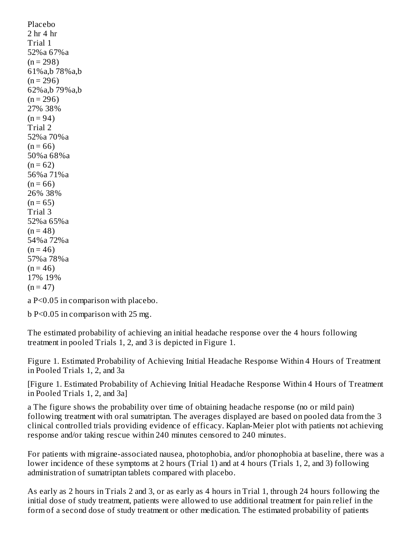Placebo 2 hr 4 hr Trial 1 52%a 67%a  $(n = 298)$ 61%a,b 78%a,b  $(n = 296)$ 62%a,b 79%a,b  $(n = 296)$ 27% 38%  $(n = 94)$ Trial 2 52%a 70%a  $(n = 66)$ 50%a 68%a  $(n = 62)$ 56%a 71%a  $(n = 66)$ 26% 38%  $(n = 65)$ Trial 3 52%a 65%a  $(n = 48)$ 54%a 72%a  $(n = 46)$ 57%a 78%a  $(n = 46)$ 17% 19%  $(n = 47)$ 

a P<0.05 in comparison with placebo.

b P<0.05 in comparison with 25 mg.

The estimated probability of achieving an initial headache response over the 4 hours following treatment in pooled Trials 1, 2, and 3 is depicted in Figure 1.

Figure 1. Estimated Probability of Achieving Initial Headache Response Within 4 Hours of Treatment in Pooled Trials 1, 2, and 3a

[Figure 1. Estimated Probability of Achieving Initial Headache Response Within 4 Hours of Treatment in Pooled Trials 1, 2, and 3a]

a The figure shows the probability over time of obtaining headache response (no or mild pain) following treatment with oral sumatriptan. The averages displayed are based on pooled data from the 3 clinical controlled trials providing evidence of efficacy. Kaplan-Meier plot with patients not achieving response and/or taking rescue within 240 minutes censored to 240 minutes.

For patients with migraine-associated nausea, photophobia, and/or phonophobia at baseline, there was a lower incidence of these symptoms at 2 hours (Trial 1) and at 4 hours (Trials 1, 2, and 3) following administration of sumatriptan tablets compared with placebo.

As early as 2 hours in Trials 2 and 3, or as early as 4 hours in Trial 1, through 24 hours following the initial dose of study treatment, patients were allowed to use additional treatment for pain relief in the form of a second dose of study treatment or other medication. The estimated probability of patients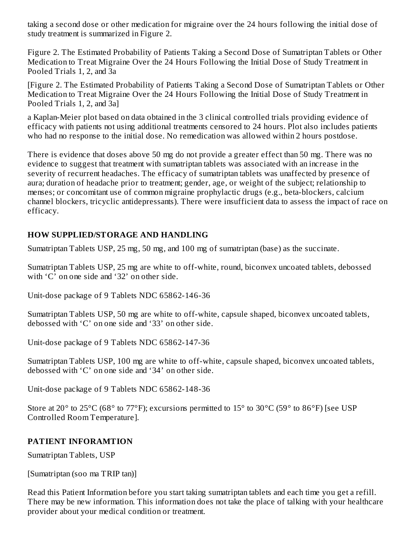taking a second dose or other medication for migraine over the 24 hours following the initial dose of study treatment is summarized in Figure 2.

Figure 2. The Estimated Probability of Patients Taking a Second Dose of Sumatriptan Tablets or Other Medication to Treat Migraine Over the 24 Hours Following the Initial Dose of Study Treatment in Pooled Trials 1, 2, and 3a

[Figure 2. The Estimated Probability of Patients Taking a Second Dose of Sumatriptan Tablets or Other Medication to Treat Migraine Over the 24 Hours Following the Initial Dose of Study Treatment in Pooled Trials 1, 2, and 3a]

a Kaplan-Meier plot based on data obtained in the 3 clinical controlled trials providing evidence of efficacy with patients not using additional treatments censored to 24 hours. Plot also includes patients who had no response to the initial dose. No remedication was allowed within 2 hours postdose.

There is evidence that doses above 50 mg do not provide a greater effect than 50 mg. There was no evidence to suggest that treatment with sumatriptan tablets was associated with an increase in the severity of recurrent headaches. The efficacy of sumatriptan tablets was unaffected by presence of aura; duration of headache prior to treatment; gender, age, or weight of the subject; relationship to menses; or concomitant use of common migraine prophylactic drugs (e.g., beta-blockers, calcium channel blockers, tricyclic antidepressants). There were insufficient data to assess the impact of race on efficacy.

## **HOW SUPPLIED/STORAGE AND HANDLING**

Sumatriptan Tablets USP, 25 mg, 50 mg, and 100 mg of sumatriptan (base) as the succinate.

Sumatriptan Tablets USP, 25 mg are white to off-white, round, biconvex uncoated tablets, debossed with 'C' on one side and '32' on other side.

Unit-dose package of 9 Tablets NDC 65862-146-36

Sumatriptan Tablets USP, 50 mg are white to off-white, capsule shaped, biconvex uncoated tablets, debossed with 'C' on one side and '33' on other side.

Unit-dose package of 9 Tablets NDC 65862-147-36

Sumatriptan Tablets USP, 100 mg are white to off-white, capsule shaped, biconvex uncoated tablets, debossed with 'C' on one side and '34' on other side.

Unit-dose package of 9 Tablets NDC 65862-148-36

Store at 20 $^{\circ}$  to 25 $^{\circ}$ C (68 $^{\circ}$  to 77 $^{\circ}$ F); excursions permitted to 15 $^{\circ}$  to 30 $^{\circ}$ C (59 $^{\circ}$  to 86 $^{\circ}$ F) [see USP Controlled Room Temperature].

## **PATIENT INFORAMTION**

Sumatriptan Tablets, USP

[Sumatriptan (soo ma TRIP tan)]

Read this Patient Information before you start taking sumatriptan tablets and each time you get a refill. There may be new information. This information does not take the place of talking with your healthcare provider about your medical condition or treatment.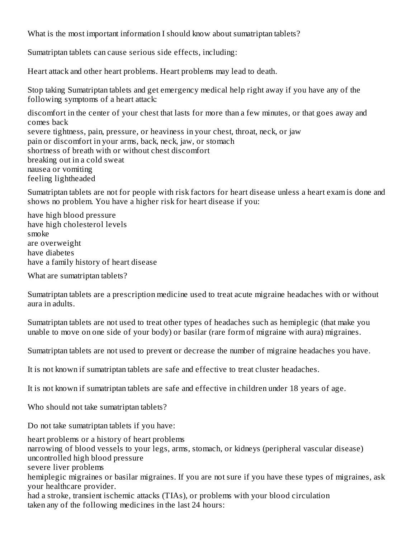What is the most important information I should know about sumatriptan tablets?

Sumatriptan tablets can cause serious side effects, including:

Heart attack and other heart problems. Heart problems may lead to death.

Stop taking Sumatriptan tablets and get emergency medical help right away if you have any of the following symptoms of a heart attack:

discomfort in the center of your chest that lasts for more than a few minutes, or that goes away and comes back severe tightness, pain, pressure, or heaviness in your chest, throat, neck, or jaw pain or discomfort in your arms, back, neck, jaw, or stomach shortness of breath with or without chest discomfort breaking out in a cold sweat nausea or vomiting feeling lightheaded

Sumatriptan tablets are not for people with risk factors for heart disease unless a heart exam is done and shows no problem. You have a higher risk for heart disease if you:

have high blood pressure have high cholesterol levels smoke are overweight have diabetes have a family history of heart disease

What are sumatriptan tablets?

Sumatriptan tablets are a prescription medicine used to treat acute migraine headaches with or without aura in adults.

Sumatriptan tablets are not used to treat other types of headaches such as hemiplegic (that make you unable to move on one side of your body) or basilar (rare form of migraine with aura) migraines.

Sumatriptan tablets are not used to prevent or decrease the number of migraine headaches you have.

It is not known if sumatriptan tablets are safe and effective to treat cluster headaches.

It is not known if sumatriptan tablets are safe and effective in children under 18 years of age.

Who should not take sumatriptan tablets?

Do not take sumatriptan tablets if you have:

heart problems or a history of heart problems

narrowing of blood vessels to your legs, arms, stomach, or kidneys (peripheral vascular disease)

uncontrolled high blood pressure

severe liver problems

hemiplegic migraines or basilar migraines. If you are not sure if you have these types of migraines, ask your healthcare provider.

had a stroke, transient ischemic attacks (TIAs), or problems with your blood circulation taken any of the following medicines in the last 24 hours: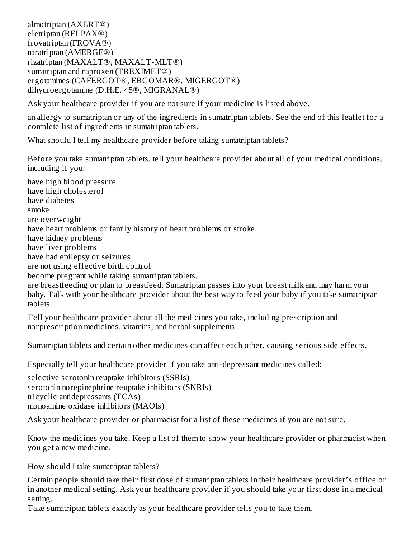almotriptan (AXERT®) eletriptan (RELPAX®) frovatriptan (FROVA®) naratriptan (AMERGE®) rizatriptan (MAXALT®, MAXALT-MLT®) sumatriptan and naproxen (TREXIMET®) ergotamines (CAFERGOT®, ERGOMAR®, MIGERGOT®) dihydroergotamine (D.H.E. 45®, MIGRANAL®)

Ask your healthcare provider if you are not sure if your medicine is listed above.

an allergy to sumatriptan or any of the ingredients in sumatriptan tablets. See the end of this leaflet for a complete list of ingredients in sumatriptan tablets.

What should I tell my healthcare provider before taking sumatriptan tablets?

Before you take sumatriptan tablets, tell your healthcare provider about all of your medical conditions, including if you:

have high blood pressure have high cholesterol have diabetes smoke are overweight have heart problems or family history of heart problems or stroke have kidney problems have liver problems have had epilepsy or seizures are not using effective birth control become pregnant while taking sumatriptan tablets. are breastfeeding or plan to breastfeed. Sumatriptan passes into your breast milk and may harm your baby. Talk with your healthcare provider about the best way to feed your baby if you take sumatriptan

tablets.

Tell your healthcare provider about all the medicines you take, including prescription and nonprescription medicines, vitamins, and herbal supplements.

Sumatriptan tablets and certain other medicines can affect each other, causing serious side effects.

Especially tell your healthcare provider if you take anti-depressant medicines called:

selective serotonin reuptake inhibitors (SSRIs) serotonin norepinephrine reuptake inhibitors (SNRIs) tricyclic antidepressants (TCAs) monoamine oxidase inhibitors (MAOIs)

Ask your healthcare provider or pharmacist for a list of these medicines if you are not sure.

Know the medicines you take. Keep a list of them to show your healthcare provider or pharmacist when you get a new medicine.

How should I take sumatriptan tablets?

Certain people should take their first dose of sumatriptan tablets in their healthcare provider's office or in another medical setting. Ask your healthcare provider if you should take your first dose in a medical setting.

Take sumatriptan tablets exactly as your healthcare provider tells you to take them.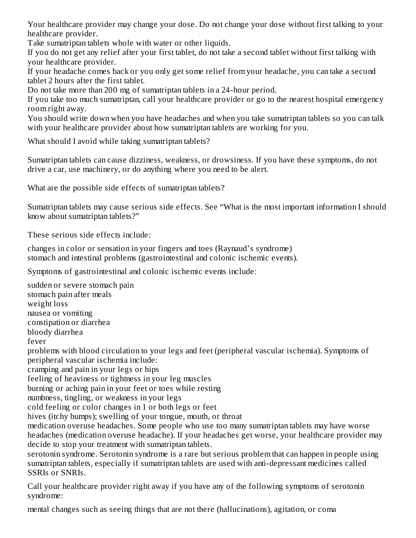Your healthcare provider may change your dose. Do not change your dose without first talking to your healthcare provider.

Take sumatriptan tablets whole with water or other liquids.

If you do not get any relief after your first tablet, do not take a second tablet without first talking with your healthcare provider.

If your headache comes back or you only get some relief from your headache, you can take a second tablet 2 hours after the first tablet.

Do not take more than 200 mg of sumatriptan tablets in a 24-hour period.

If you take too much sumatriptan, call your healthcare provider or go to the nearest hospital emergency room right away.

You should write down when you have headaches and when you take sumatriptan tablets so you can talk with your healthcare provider about how sumatriptan tablets are working for you.

What should I avoid while taking sumatriptan tablets?

Sumatriptan tablets can cause dizziness, weakness, or drowsiness. If you have these symptoms, do not drive a car, use machinery, or do anything where you need to be alert.

What are the possible side effects of sumatriptan tablets?

Sumatriptan tablets may cause serious side effects. See "What is the most important information I should know about sumatriptan tablets?"

These serious side effects include:

changes in color or sensation in your fingers and toes (Raynaud's syndrome) stomach and intestinal problems (gastrointestinal and colonic ischemic events).

Symptoms of gastrointestinal and colonic ischemic events include:

sudden or severe stomach pain stomach pain after meals weight loss nausea or vomiting constipation or diarrhea bloody diarrhea fever problems with blood circulation to your legs and feet (peripheral vascular ischemia). Symptoms of peripheral vascular ischemia include: cramping and pain in your legs or hips feeling of heaviness or tightness in your leg muscles burning or aching pain in your feet or toes while resting numbness, tingling, or weakness in your legs cold feeling or color changes in 1 or both legs or feet hives (itchy bumps); swelling of your tongue, mouth, or throat medication overuse headaches. Some people who use too many sumatriptan tablets may have worse headaches (medication overuse headache). If your headaches get worse, your healthcare provider may decide to stop your treatment with sumatriptan tablets. serotonin syndrome. Serotonin syndrome is a rare but serious problem that can happen in people using sumatriptan tablets, especially if sumatriptan tablets are used with anti-depressant medicines called SSRIs or SNRIs.

Call your healthcare provider right away if you have any of the following symptoms of serotonin syndrome:

mental changes such as seeing things that are not there (hallucinations), agitation, or coma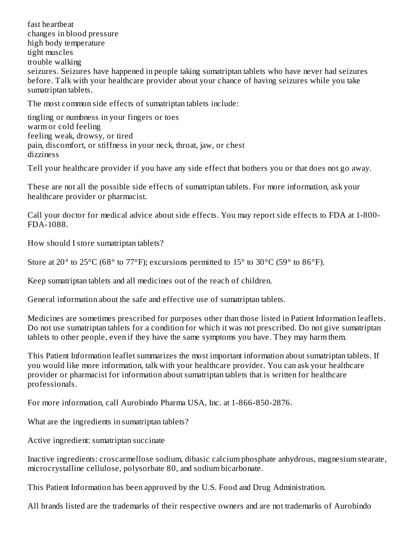fast heartbeat changes in blood pressure high body temperature tight muscles trouble walking seizures. Seizures have happened in people taking sumatriptan tablets who have never had seizures before. Talk with your healthcare provider about your chance of having seizures while you take sumatriptan tablets.

The most common side effects of sumatriptan tablets include:

tingling or numbness in your fingers or toes warm or cold feeling feeling weak, drowsy, or tired pain, discomfort, or stiffness in your neck, throat, jaw, or chest dizziness

Tell your healthcare provider if you have any side effect that bothers you or that does not go away.

These are not all the possible side effects of sumatriptan tablets. For more information, ask your healthcare provider or pharmacist.

Call your doctor for medical advice about side effects. You may report side effects to FDA at 1-800- FDA-1088.

How should I store sumatriptan tablets?

Store at 20 $\degree$  to 25 $\degree$ C (68 $\degree$  to 77 $\degree$ F); excursions permitted to 15 $\degree$  to 30 $\degree$ C (59 $\degree$  to 86 $\degree$ F).

Keep sumatriptan tablets and all medicines out of the reach of children.

General information about the safe and effective use of sumatriptan tablets.

Medicines are sometimes prescribed for purposes other than those listed in Patient Information leaflets. Do not use sumatriptan tablets for a condition for which it was not prescribed. Do not give sumatriptan tablets to other people, even if they have the same symptoms you have. They may harm them.

This Patient Information leaflet summarizes the most important information about sumatriptan tablets. If you would like more information, talk with your healthcare provider. You can ask your healthcare provider or pharmacist for information about sumatriptan tablets that is written for healthcare professionals.

For more information, call Aurobindo Pharma USA, Inc. at 1-866-850-2876.

What are the ingredients in sumatriptan tablets?

Active ingredient: sumatriptan succinate

Inactive ingredients: croscarmellose sodium, dibasic calcium phosphate anhydrous, magnesium stearate, microcrystalline cellulose, polysorbate 80, and sodium bicarbonate.

This Patient Information has been approved by the U.S. Food and Drug Administration.

All brands listed are the trademarks of their respective owners and are not trademarks of Aurobindo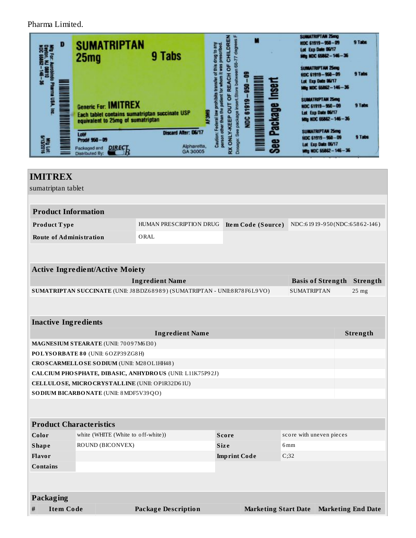Pharma Limited.

| D                      | <b>SUMATRIPTAN</b><br>9 Tabs<br>25 <sub>mg</sub>                                                                            | М<br>面<br>ō             | <b>SUMATRIPTAN 25mg</b><br>9 Tabs<br>HDC 61919-950-09<br>Lot Exp Date 06/17<br>Ming NDC 65862-146-36 |
|------------------------|-----------------------------------------------------------------------------------------------------------------------------|-------------------------|------------------------------------------------------------------------------------------------------|
| 窯                      |                                                                                                                             | ο<br><b>Insert</b><br>蠠 | <b>SUMATRIPTAN 25mg</b><br>9 Tabs<br>HDC 61919-950-09<br>Lot Exp Date 06/17<br>Mtg NDC 65862-146-36  |
|                        | <b>Generic For: IMITREX</b><br>Each tablet contains sumatriptan succinate USP<br>equivalent to 25mg of sumatriptan          | ត<br>Package<br>ត<br>ğ  | <b>SUMATRIPTAN 25mg</b><br>9 Tabs<br>NDC 61919-950-09<br>Lot Exp Date 06/17<br>Mtg NDC 65862-146-36  |
| Mitg Lot:<br>Svi3/2016 | Discard After: 06/17<br>Lot#<br>Prod# 950-09<br>Alpharetta,<br><b>DIRECT</b><br>Fackaged and<br>GA 30005<br>Distributed By: | <b>See</b>              | SUMATRIPTAN 25mg<br>9 Tabs<br>HDC 61919-950-09<br>Lot Exp Date 06/17<br>Mtg NDC 65862-146-36         |

| <b>IMITREX</b>                                                           |                                                 |                                                                               |                     |                             |                          |                                   |       |
|--------------------------------------------------------------------------|-------------------------------------------------|-------------------------------------------------------------------------------|---------------------|-----------------------------|--------------------------|-----------------------------------|-------|
| sumatriptan tablet                                                       |                                                 |                                                                               |                     |                             |                          |                                   |       |
|                                                                          |                                                 |                                                                               |                     |                             |                          |                                   |       |
| <b>Product Information</b>                                               |                                                 |                                                                               |                     |                             |                          |                                   |       |
| Product Type                                                             |                                                 | HUMAN PRESCRIPTION DRUG<br>Item Code (Source)<br>NDC:61919-950(NDC:65862-146) |                     |                             |                          |                                   |       |
| <b>Route of Administration</b>                                           |                                                 | ORAL                                                                          |                     |                             |                          |                                   |       |
|                                                                          |                                                 |                                                                               |                     |                             |                          |                                   |       |
|                                                                          |                                                 |                                                                               |                     |                             |                          |                                   |       |
|                                                                          | <b>Active Ingredient/Active Moiety</b>          | <b>Ingredient Name</b>                                                        |                     |                             |                          | <b>Basis of Strength Strength</b> |       |
|                                                                          |                                                 |                                                                               |                     |                             | <b>SUMATRIPTAN</b>       |                                   | 25 mg |
| SUMATRIPTAN SUCCINATE (UNII: J8BDZ68989) (SUMATRIPTAN - UNII:8R78F6L9VO) |                                                 |                                                                               |                     |                             |                          |                                   |       |
|                                                                          |                                                 |                                                                               |                     |                             |                          |                                   |       |
| <b>Inactive Ingredients</b>                                              |                                                 |                                                                               |                     |                             |                          |                                   |       |
| <b>Ingredient Name</b>                                                   |                                                 |                                                                               |                     |                             |                          | Strength                          |       |
| MAGNESIUM STEARATE (UNII: 70097M6I30)                                    |                                                 |                                                                               |                     |                             |                          |                                   |       |
|                                                                          | POLYSORBATE 80 (UNII: 6OZP39ZG8H)               |                                                                               |                     |                             |                          |                                   |       |
|                                                                          | CROSCARMELLOSE SODIUM (UNII: M28OL1HH48)        |                                                                               |                     |                             |                          |                                   |       |
|                                                                          |                                                 | CALCIUM PHO SPHATE, DIBASIC, ANHYDROUS (UNII: L11K75P92J)                     |                     |                             |                          |                                   |       |
|                                                                          | CELLULOSE, MICRO CRYSTALLINE (UNII: OP1R32D61U) |                                                                               |                     |                             |                          |                                   |       |
|                                                                          | SO DIUM BICARBONATE (UNII: 8 MDF5V39QO)         |                                                                               |                     |                             |                          |                                   |       |
|                                                                          |                                                 |                                                                               |                     |                             |                          |                                   |       |
| <b>Product Characteristics</b>                                           |                                                 |                                                                               |                     |                             |                          |                                   |       |
| Color                                                                    | white (WHITE (White to off-white))              |                                                                               | <b>Score</b>        |                             | score with uneven pieces |                                   |       |
| <b>Shape</b>                                                             | ROUND (BICONVEX)                                |                                                                               | <b>Size</b>         |                             | 6mm                      |                                   |       |
| <b>Flavor</b>                                                            |                                                 |                                                                               | <b>Imprint Code</b> |                             | C;32                     |                                   |       |
| <b>Contains</b>                                                          |                                                 |                                                                               |                     |                             |                          |                                   |       |
|                                                                          |                                                 |                                                                               |                     |                             |                          |                                   |       |
| <b>Packaging</b>                                                         |                                                 |                                                                               |                     |                             |                          |                                   |       |
| <b>Item Code</b><br>#                                                    |                                                 | <b>Package Description</b>                                                    |                     | <b>Marketing Start Date</b> |                          | <b>Marketing End Date</b>         |       |
|                                                                          |                                                 |                                                                               |                     |                             |                          |                                   |       |